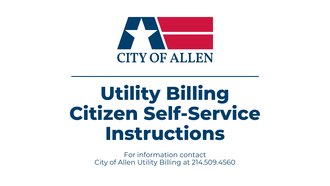

## **Utility Billing Citizen Self-Service Instructions**

For information contact City of Allen Utility Billing at 214.509.4560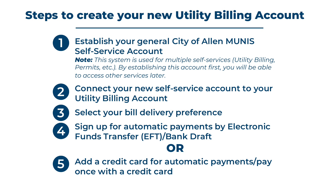### **Steps to create your new Utility Billing Account**

#### **Establish your general City of Allen MUNIS Self-Service Account 1**

*Note: This system is used for multiple self-services (Utility Billing, Permits, etc.). By establishing this account first, you will be able to access other services later.* 



**Connect your new self-service account to your Utility Billing Account**



**Select your bill delivery preference**

**Sign up for automatic payments by Electronic Funds Transfer (EFT)/Bank Draft 4**

### **OR**



**Add a credit card for automatic payments/pay once with a credit card**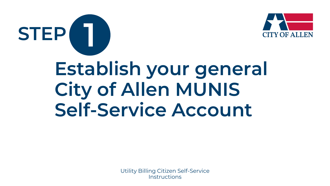



## **Establish your general City of Allen MUNIS Self-Service Account**

Utility Billing Citizen Self-Service **Instructions**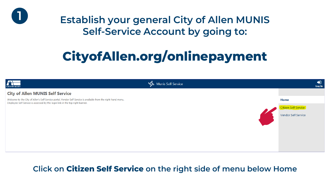

### **Establish your general City of Allen MUNIS Self-Service Account by going to:**

## **CityofAllen.org/onlinepayment**



### **Click on Citizen Self Service on the right side of menu below Home**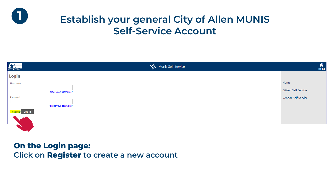

| <b>CITY OF ALLEN</b>  | Munis Self Service | $\hat{\mathbf{h}}$<br>Home |
|-----------------------|--------------------|----------------------------|
| Login                 |                    |                            |
| Username              |                    | Home                       |
| Forgot your username? |                    | Citizen Self Service       |
| Password              |                    | Vendor Self Service        |
| Forgot your password? |                    |                            |
| Register Log in       |                    |                            |
|                       |                    |                            |
|                       |                    |                            |

**On the Login page: Click on Register to create a new account**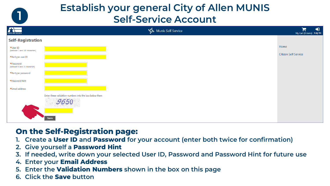### **Establish your general City of Allen MUNIS Self-Service Account**

| 4<br><b>CITY OF ALLEN</b>                  | Munis Self Service                                             | $\begin{array}{c} \begin{array}{c} \hline \end{array} \\ \hline \end{array}$ My Cart (0 items) Log In |
|--------------------------------------------|----------------------------------------------------------------|-------------------------------------------------------------------------------------------------------|
| <b>Self-Registration</b>                   |                                                                |                                                                                                       |
| *User ID<br>(between 1 and 100 characters) |                                                                | Home                                                                                                  |
| *Re-type user ID                           |                                                                | Citizen Self Service                                                                                  |
| *Password<br>(between 8 and 15 characters) |                                                                |                                                                                                       |
| *Re-type password                          |                                                                |                                                                                                       |
| *Password hint                             |                                                                |                                                                                                       |
| *Email address                             |                                                                |                                                                                                       |
|                                            | Enter these validation numbers into the box below them<br>Save |                                                                                                       |

### **On the Self-Registration page:**

- **1. Create a User ID and Password for your account (enter both twice for confirmation)**
- **2. Give yourself a Password Hint**
- **3. If needed, write down your selected User ID, Password and Password Hint for future use**
- **4. Enter your Email Address**
- **5. Enter the Validation Numbers shown in the box on this page**
- **6. Click the Save button**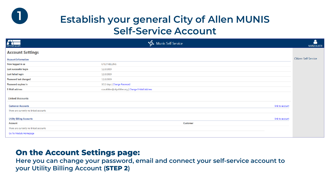### **Establish your general City of Allen MUNIS Self-Service Account**

| <b>CITY OF ALLEN</b>                   | Munis Self Service                                   | å<br>MARIZOL1970     |
|----------------------------------------|------------------------------------------------------|----------------------|
| <b>Account Settings</b>                |                                                      |                      |
| <b>Account Information</b>             |                                                      | Citizen Self Service |
| Now logged in as                       | <b>UTILITYBILLING</b>                                |                      |
| Last successful login                  | 12/3/2019                                            |                      |
| <b>Last failed login</b>               | 12/3/2019                                            |                      |
| <b>Password last changed</b>           | 12/3/2019                                            |                      |
| <b>Password expires in</b>             | 3012 days   Change Password                          |                      |
| <b>E-Mail address</b>                  | coautilities@cityofallen.org   Change E-Mail Address |                      |
| <b>Linked Accounts</b>                 |                                                      |                      |
| <b>Customer Accounts</b>               | link to account                                      |                      |
| There are currently no linked accounts |                                                      |                      |
| <b>Utility Billing Accounts</b>        | link to account                                      |                      |
| Account                                | <b>Customer</b>                                      |                      |
| There are currently no linked accounts |                                                      |                      |
| Go To Module Homepage                  |                                                      |                      |

### **On the Account Settings page:**

**1**

**Here you can change your password, email and connect your self-service account to your Utility Billing Account (STEP 2)**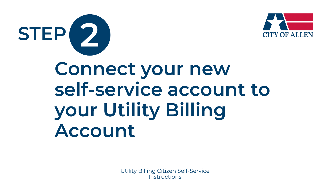



Utility Billing Citizen Self-Service Instructions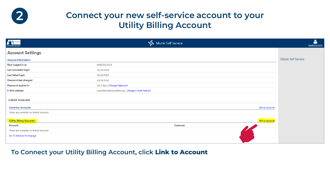

| 77<br><b>CITY OF ALLEN</b>             | Munis Self Service                                   |                      | 8<br>MARIZOL1970 |
|----------------------------------------|------------------------------------------------------|----------------------|------------------|
| <b>Account Settings</b>                |                                                      |                      |                  |
| <b>Account Information</b>             |                                                      | Citizen Self Service |                  |
| Now logged in as                       | MARIZOL1970                                          |                      |                  |
| Last successful login                  | 10/30/2019                                           |                      |                  |
| <b>Last failed login</b>               | 10/30/2019                                           |                      |                  |
| <b>Password last changed</b>           | 10/30/2019                                           |                      |                  |
| <b>Password expires in</b>             | 3013 days   Change Password                          |                      |                  |
| <b>E-Mail address</b>                  | coautilities@cityofallen.org   Change E-Mail Address |                      |                  |
| <b>Linked Accounts</b>                 |                                                      |                      |                  |
| <b>Customer Accounts</b>               | link to account                                      |                      |                  |
| There are currently no linked accounts |                                                      |                      |                  |
| <b>Utility Billing Accounts</b>        | link to account                                      |                      |                  |
| <b>Account</b>                         | Customer                                             |                      |                  |
| There are currently no linked accounts |                                                      |                      |                  |
| Go To Module Homepage                  |                                                      |                      |                  |

#### **To Connect your Utility Billing Account, click Link to Account**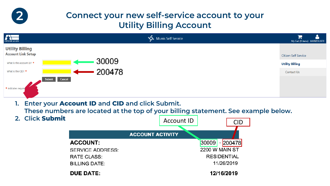

**1. Enter your Account ID and CID and click Submit. These numbers are located at the top of your billing statement. See example below.** 

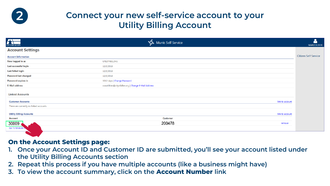

| <b>EXTREMELY</b>                       | Munis Self Service                                   | 8<br>MARIZOL1970     |
|----------------------------------------|------------------------------------------------------|----------------------|
| <b>Account Settings</b>                |                                                      |                      |
| <b>Account Information</b>             |                                                      | Citizen Self Service |
| Now logged in as                       | <b>UTILITYBILLING</b>                                |                      |
| Last successful login                  | 12/3/2019                                            |                      |
| <b>Last failed login</b>               | 12/3/2019                                            |                      |
| <b>Password last changed</b>           | 12/3/2019                                            |                      |
| Password expires in                    | 3012 days   Change Password                          |                      |
| <b>E-Mail address</b>                  | coautilities@cityofallen.org   Change E-Mail Address |                      |
| <b>Linked Accounts</b>                 |                                                      |                      |
| <b>Customer Accounts</b>               | link to account                                      |                      |
| There are currently no linked accounts |                                                      |                      |
| <b>Utility Billing Accounts</b>        | link to account                                      |                      |
| Account                                | <b>Customer</b>                                      |                      |
| 30009                                  | 200478<br>remove                                     |                      |
| Go To Module                           |                                                      |                      |

#### **On the Account Settings page:**

- **1. Once your Account ID and Customer ID are submitted, you'll see your account listed under the Utility Billing Accounts section**
- **2. Repeat this process if you have multiple accounts (like a business might have)**
- **3. To view the account summary, click on the Account Number link**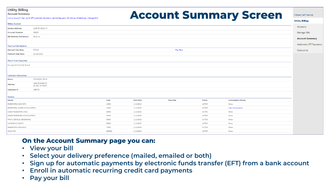#### **Utility Billing**

**Account Summary** 

Link to Account | Sign up for EFT Automatic Payments | Service Requests | Bill Delivery Preferences | Manage Bill

### **Account Summary Screen**

#### Citizen Self Service

|--|--|--|

| <b>Billing Account</b>          |                                          |               |                   |                  |               |                            |                        |
|---------------------------------|------------------------------------------|---------------|-------------------|------------------|---------------|----------------------------|------------------------|
| <b>Service Address</b>          | 2200 W MAIN ST                           |               |                   |                  |               |                            | Accounts               |
| <b>Account Number</b>           | 30009                                    |               |                   |                  |               |                            | Manage Bills           |
| <b>Bill Delivery Preference</b> | Email to                                 |               |                   |                  |               |                            | <b>Account Summary</b> |
|                                 |                                          |               |                   |                  |               |                            |                        |
| <b>Your Current Balance</b>     |                                          |               |                   |                  |               |                            | Automatic EFT Payme    |
| <b>Amount Due Now</b>           | \$79.10                                  |               |                   | Pay Now          |               |                            | Contact Us             |
| <b>Payment Due Date</b>         | 12/16/2019                               |               |                   |                  |               |                            |                        |
| <b>About Your Payments</b>      |                                          |               |                   |                  |               |                            |                        |
|                                 |                                          |               |                   |                  |               |                            |                        |
| No payment activity found       |                                          |               |                   |                  |               |                            |                        |
|                                 |                                          |               |                   |                  |               |                            |                        |
| <b>Customer Information</b>     |                                          |               |                   |                  |               |                            |                        |
| <b>Name</b>                     | JOHNSON, JOHN                            |               |                   |                  |               |                            |                        |
| <b>Address</b>                  | 2200 W MAIN ST<br><b>ALLEN, TX 75002</b> |               |                   |                  |               |                            |                        |
| <b>Customer ID</b>              | 200478                                   |               |                   |                  |               |                            |                        |
|                                 |                                          |               |                   |                  |               |                            |                        |
| <b>Services</b>                 |                                          |               |                   |                  |               |                            |                        |
| <b>Service</b>                  |                                          | Code          | <b>Start Date</b> | <b>Stop Date</b> | <b>Status</b> | <b>Consumption History</b> |                        |
| RESIDENTIAL BASE RATE           |                                          | 10000         | 11/1/2019         |                  | <b>ACTIVE</b> | None                       |                        |
| RESIDENTIAL WATER CONSUMPTION   |                                          | 10500         | 11/1/2019         |                  | <b>ACTIVE</b> | <b>View Consumption</b>    |                        |
| SEWER RESIDENTIAL BASE          |                                          | 20000         | 11/1/2019         |                  | <b>ACTIVE</b> | None                       |                        |
| SEWER RESIDENTIALCONSUMPTION    |                                          | 20500         | 11/1/2019         |                  | <b>ACTIVE</b> | None                       |                        |
| WASTE SERVICES RESIDENTIAL      |                                          | 40000         | 11/1/2019         |                  | <b>ACTIVE</b> | None                       |                        |
| <b>HAZARDOUS WASTE</b>          |                                          | 60000         | 11/1/2019         |                  | <b>ACTIVE</b> | None                       |                        |
| RESIDENTIAL DRAINAGE            |                                          | 70000         | 11/1/2019         |                  | <b>ACTIVE</b> | None                       |                        |
| <b>SALES TAX</b>                |                                          | <b>UB6000</b> | 11/1/2019         |                  | <b>ACTIVE</b> | None                       |                        |

#### **On the Account Summary page you can:**

- **View your bill**
- **Select your delivery preference (mailed, emailed or both)**
- **Sign up for automatic payments by electronic funds transfer (EFT) from a bank account**
- **Enroll in automatic recurring credit card payments**
- **Pay your bill**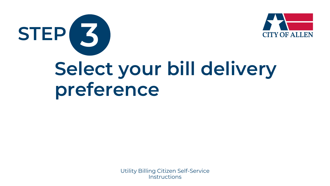



## **Select your bill delivery preference**

Utility Billing Citizen Self-Service **Instructions**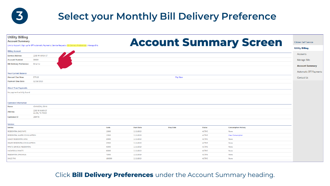

| <b>Utility Billing</b><br><b>Account Summary</b><br><b>Billing Account</b><br><b>Service Address</b><br><b>Account Number</b><br><b>Bill Delivery Preference</b> | 2200 W MAIN ST<br>30009<br>Email to      | Link to Account   Sign up for EFT Automatic Payments   Service Requests   Bill Delivery Preferences   Manage Bills |               |                   |                  |               | <b>Account Summary Screen</b> | <b>Citizen Self Service</b><br><b>Utility Billing</b><br>Accounts<br>Manage Bills |
|------------------------------------------------------------------------------------------------------------------------------------------------------------------|------------------------------------------|--------------------------------------------------------------------------------------------------------------------|---------------|-------------------|------------------|---------------|-------------------------------|-----------------------------------------------------------------------------------|
|                                                                                                                                                                  |                                          |                                                                                                                    |               |                   |                  |               |                               | <b>Account Summary</b>                                                            |
| <b>Your Current Balance</b>                                                                                                                                      |                                          |                                                                                                                    |               |                   |                  |               |                               | <b>Automatic EFT Payments</b>                                                     |
| <b>Amount Due Now</b>                                                                                                                                            | \$79.10                                  |                                                                                                                    |               |                   | Pay Now          |               |                               | Contact Us                                                                        |
| <b>Payment Due Date</b>                                                                                                                                          | 12/16/2019                               |                                                                                                                    |               |                   |                  |               |                               |                                                                                   |
| <b>About Your Payments</b><br>No payment activity found                                                                                                          |                                          |                                                                                                                    |               |                   |                  |               |                               |                                                                                   |
| <b>Customer Information</b>                                                                                                                                      |                                          |                                                                                                                    |               |                   |                  |               |                               |                                                                                   |
| <b>Name</b>                                                                                                                                                      | JOHNSON, JOHN                            |                                                                                                                    |               |                   |                  |               |                               |                                                                                   |
| <b>Address</b>                                                                                                                                                   | 2200 W MAIN ST<br><b>ALLEN, TX 75002</b> |                                                                                                                    |               |                   |                  |               |                               |                                                                                   |
| <b>Customer ID</b>                                                                                                                                               | 200478                                   |                                                                                                                    |               |                   |                  |               |                               |                                                                                   |
| <b>Services</b>                                                                                                                                                  |                                          |                                                                                                                    |               |                   |                  |               |                               |                                                                                   |
| <b>Service</b>                                                                                                                                                   |                                          |                                                                                                                    | Code          | <b>Start Date</b> | <b>Stop Date</b> | <b>Status</b> | <b>Consumption History</b>    |                                                                                   |
| RESIDENTIAL BASE RATE                                                                                                                                            |                                          |                                                                                                                    | 10000         | 11/1/2019         |                  | <b>ACTIVE</b> | None                          |                                                                                   |
| RESIDENTIAL WATER CONSUMPTION                                                                                                                                    |                                          |                                                                                                                    | 10500         | 11/1/2019         |                  | <b>ACTIVE</b> | <b>View Consumption</b>       |                                                                                   |
| SEWER RESIDENTIAL BASE                                                                                                                                           |                                          |                                                                                                                    | 20000         | 11/1/2019         |                  | <b>ACTIVE</b> | None                          |                                                                                   |
| SEWER RESIDENTIALCONSUMPTION                                                                                                                                     |                                          |                                                                                                                    | 20500         | 11/1/2019         |                  | <b>ACTIVE</b> | None                          |                                                                                   |
| WASTE SERVICES RESIDENTIAL                                                                                                                                       |                                          |                                                                                                                    | 40000         | 11/1/2019         |                  | <b>ACTIVE</b> | None                          |                                                                                   |
| <b>HAZARDOUS WASTE</b>                                                                                                                                           |                                          |                                                                                                                    | 60000         | 11/1/2019         |                  | <b>ACTIVE</b> | None                          |                                                                                   |
| RESIDENTIAL DRAINAGE                                                                                                                                             |                                          |                                                                                                                    | 70000         | 11/1/2019         |                  | <b>ACTIVE</b> | None                          |                                                                                   |
| <b>SALES TAX</b>                                                                                                                                                 |                                          |                                                                                                                    | <b>UB6000</b> | 11/1/2019         |                  | <b>ACTIVE</b> | None                          |                                                                                   |

#### Click **Bill Delivery Preferences** under the Account Summary heading.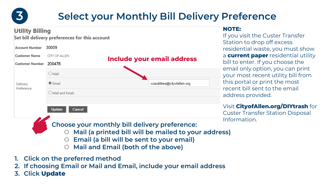

### **3 Select your Monthly Bill Delivery Preference**

#### **Utility Billing**

Set bill delivery preferences for this account

| <b>Account Number</b>  | 30009                                                |                                                                                                       | OLC<br>res              |
|------------------------|------------------------------------------------------|-------------------------------------------------------------------------------------------------------|-------------------------|
| <b>Customer Name</b>   | <b>CITY OF ALLEN</b>                                 | <b>Include your email address</b>                                                                     | a c                     |
| <b>Customer Number</b> | 200478                                               |                                                                                                       | bill                    |
| Delivery<br>Preference | $\bigcirc$ Mail<br>$\odot$ Email                     | coautilities@cityofallen.org                                                                          | em<br>you<br>thi<br>rec |
|                        | $\bigcirc$ Mail and Email<br><b>Update</b><br>Cancel |                                                                                                       | ad<br>Vis<br>Cu         |
|                        |                                                      | Choose your monthly bill delivery preference:<br>Mail (a printed bill will be mailed to your address) | Inf                     |

- **O Email (a bill will be sent to your email)**
- **O Mail and Email (both of the above)**
- **1. Click on the preferred method**
- **2. If choosing Email or Mail and Email, include your email address**
- **3. Click Update**

#### **NOTE:**

If you visit the Custer Transfer Station to drop off excess sidential waste, you must show a **current paper** residential utility bill to enter. If you choose the mail only option, you can print your most recent utility bill from is portal or print the most cent bill sent to the email ddress provided.

#### **sit CityofAllen.org/DIYtrash** for

uster Transfer Station Disposal Information.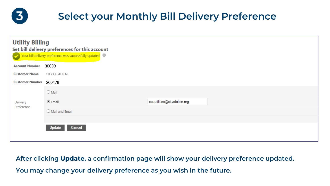## **3 Select your Monthly Bill Delivery Preference**

| <b>Utility Billing</b><br>Set bill delivery preferences for this account<br>Your bill delivery preference was successfully updated. |                         |                              |  |  |  |  |
|-------------------------------------------------------------------------------------------------------------------------------------|-------------------------|------------------------------|--|--|--|--|
| <b>Account Number</b>                                                                                                               | 30009                   |                              |  |  |  |  |
| <b>Customer Name</b>                                                                                                                | <b>CITY OF ALLEN</b>    |                              |  |  |  |  |
| <b>Customer Number</b>                                                                                                              | 200478                  |                              |  |  |  |  |
|                                                                                                                                     | $\bigcirc$ Mail         |                              |  |  |  |  |
| Delivery                                                                                                                            | $\odot$ Email           | coautilities@cityofallen.org |  |  |  |  |
| Preference                                                                                                                          | O Mail and Email        |                              |  |  |  |  |
|                                                                                                                                     |                         |                              |  |  |  |  |
|                                                                                                                                     | <b>Update</b><br>Cancel |                              |  |  |  |  |

**After clicking Update, a confirmation page will show your delivery preference updated. You may change your delivery preference as you wish in the future.**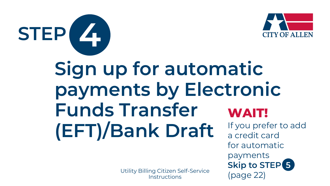



payments

**Skip to STEP 5** 

### **Sign up for automatic payments by Electronic Funds Transfer (EFT)/Bank Draft WAIT!**  If you prefer to add a credit card for automatic

Utility Billing Citizen Self-Service<br>
Instructions (page 22) **Instructions**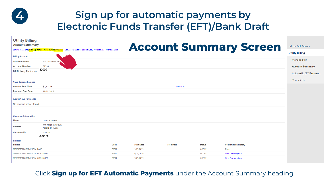**4**

| <b>Utility Billing</b><br><b>Account Summary</b> |                                                                                                                    |       |                   |                  |               | <b>Account Summary Screen</b> | Citizen Self Service          |
|--------------------------------------------------|--------------------------------------------------------------------------------------------------------------------|-------|-------------------|------------------|---------------|-------------------------------|-------------------------------|
|                                                  | Link to Account   Sign up for EFT Automatic Payments   Service Requests   Bill Delivery Preferences   Manage Bills |       |                   |                  |               |                               | <b>Utility Billing</b>        |
| <b>Billing Account</b>                           |                                                                                                                    |       |                   |                  |               |                               | Manage Bills                  |
| <b>Service Address</b>                           | 305 CENTURY PKW                                                                                                    |       |                   |                  |               |                               |                               |
| <b>Account Number</b>                            | 51598<br>30009                                                                                                     |       |                   |                  |               |                               | <b>Account Summary</b>        |
| <b>Bill Delivery Preference</b>                  |                                                                                                                    |       |                   |                  |               |                               | <b>Automatic EFT Payments</b> |
| <b>Your Current Balance</b>                      |                                                                                                                    |       |                   |                  |               |                               | Contact Us                    |
| <b>Amount Due Now</b>                            | \$2,500.68                                                                                                         |       |                   | Pay Now          |               |                               |                               |
| <b>Payment Due Date</b>                          | 11/19/2019                                                                                                         |       |                   |                  |               |                               |                               |
| <b>About Your Payments</b>                       |                                                                                                                    |       |                   |                  |               |                               |                               |
| No payment activity found                        |                                                                                                                    |       |                   |                  |               |                               |                               |
| <b>Customer Information</b>                      |                                                                                                                    |       |                   |                  |               |                               |                               |
| <b>Name</b>                                      | <b>CITY OF ALLEN</b>                                                                                               |       |                   |                  |               |                               |                               |
| <b>Address</b>                                   | <b>305 CENTURY PKWY</b><br><b>ALLEN, TX 75013</b>                                                                  |       |                   |                  |               |                               |                               |
| <b>Customer ID</b>                               | 200480                                                                                                             |       |                   |                  |               |                               |                               |
|                                                  | 200478                                                                                                             |       |                   |                  |               |                               |                               |
| <b>Services</b><br>Service                       |                                                                                                                    | Code  | <b>Start Date</b> | <b>Stop Date</b> | <b>Status</b> | <b>Consumption History</b>    |                               |
| <b>IRRIGATION COMMERCIAL BASE</b>                |                                                                                                                    | 31000 | 9/25/2019         |                  | <b>ACTIVE</b> | None                          |                               |
| IRRIGATION COMMERCIAL CONSUMPT                   |                                                                                                                    | 31500 | 9/25/2019         |                  | <b>ACTIVE</b> | <b>View Consumption</b>       |                               |
| IRRIGATION COMMERCIAL CONSUMPT                   |                                                                                                                    | 31500 | 9/25/2019         |                  | <b>ACTIVE</b> | <b>View Consumption</b>       |                               |
|                                                  |                                                                                                                    |       |                   |                  |               |                               |                               |

Click **Sign up for EFT Automatic Payments** under the Account Summary heading.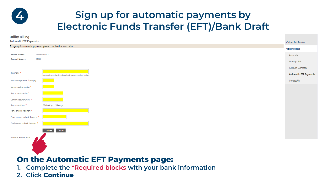| <b>Utility Billing</b>                                                                                                                             |                               |
|----------------------------------------------------------------------------------------------------------------------------------------------------|-------------------------------|
| <b>Automatic EFT Payments</b>                                                                                                                      | Citizen Self Service          |
| To sign up for automatic payments, please complete the form below.                                                                                 | <b>Utility Billing</b>        |
| 2200 W MAIN ST<br><b>Service Address</b>                                                                                                           | Accounts                      |
| 30009<br><b>Account Number</b>                                                                                                                     | Manage Bills                  |
|                                                                                                                                                    | Account Summary               |
| Bank name*<br>For auto-lookup, begin typing a bank name or routing number.                                                                         | <b>Automatic EFT Payments</b> |
| Bank routing number * (9 digits)<br>and the state of the state of the state of the state of the state of the state of the state of the state of th | Contact Us                    |
| Confirm routing number *                                                                                                                           |                               |
| Bank account number *                                                                                                                              |                               |
| Confirm account number *                                                                                                                           |                               |
| $\bigcirc$ Checking $\bigcirc$ Savings<br>Bank account type *                                                                                      |                               |
| Name on bank statement *                                                                                                                           |                               |
| Phone number on bank statement *                                                                                                                   |                               |
| Email address on bank statement *                                                                                                                  |                               |
| Continue Cancel                                                                                                                                    |                               |
| * indicates required values.                                                                                                                       |                               |
|                                                                                                                                                    |                               |

### **On the Automatic EFT Payments page:**

- **1. Complete the \*Required blocks with your bank information**
- **2. Click Continue**

**4**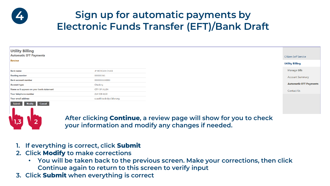| <b>Utility Billing</b>                    |                              |
|-------------------------------------------|------------------------------|
| <b>Automatic EFT Payments</b>             |                              |
| <b>Review</b>                             |                              |
| <b>Bank name</b>                          | JP MORGAN CHASE              |
| <b>Routing number</b>                     | XXXXX0361                    |
| <b>Bank account number</b>                | XXXXXXXXX0000                |
| <b>Account type</b>                       | Checking                     |
| Name as it appears on your bank statement | <b>CITY OF ALLEN</b>         |
| Your telephone number                     | 214-509-4100                 |
| Your email address                        | coautilities@cityofallen.org |
| Submit Modify Cancel                      |                              |
|                                           |                              |



**4**

**After clicking Continue, a review page will show for you to check your information and modify any changes if needed. 1,3 <sup>2</sup>**

- **1. If everything is correct, click Submit**
- **2. Click Modify to make corrections**
	- **You will be taken back to the previous screen. Make your corrections, then click Continue again to return to this screen to verify input**
- **3. Click Submit when everything is correct**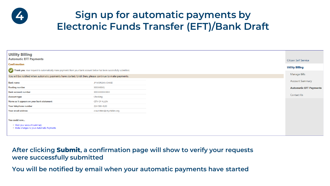**4**

| <b>Utility Billing</b><br><b>Automatic EFT Payments</b>                                                              |                              | Citizen Self Service          |
|----------------------------------------------------------------------------------------------------------------------|------------------------------|-------------------------------|
| <b>Confirmation</b>                                                                                                  |                              |                               |
|                                                                                                                      |                              | <b>Utility Billing</b>        |
| Thank you. Your request to automatically make payments from your bank account below has been successfully submitted. |                              | Manage Bills                  |
| You will be notified when automatic payments have started. Until then, please continue to make payments.             |                              |                               |
| <b>Bank name</b>                                                                                                     | JP MORGAN CHASE              | <b>Account Summary</b>        |
| <b>Routing number</b>                                                                                                | XXXXX0361                    | <b>Automatic EFT Payments</b> |
| <b>Bank account number</b>                                                                                           | XXXXXXXXX0000                |                               |
| <b>Account type</b>                                                                                                  | Checking                     | Contact Us                    |
| Name as it appears on your bank statement                                                                            | <b>CITY OF ALLEN</b>         |                               |
| Your telephone number                                                                                                | 214-509-4100                 |                               |
| <b>Your email address</b>                                                                                            | coautilities@cityofallen.org |                               |
| You could now<br>• View your account summary<br>. Make changes to your Automatic Payments                            |                              |                               |

#### **After clicking Submit, a confirmation page will show to verify your requests were successfully submitted**

**You will be notified by email when your automatic payments have started**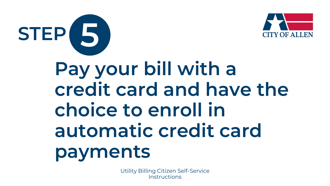

**STEP 5**

Utility Billing Citizen Self-Service **Instructions**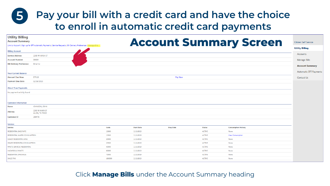| <b>Utility Billing</b><br><b>Account Summary</b><br><b>Billing Account</b> |                                          | Link to Account   Sign up for EFT Automatic Payments   Service Requests   Bill Delivery Preferences   Manage Bills |               |                   |                  |               | <b>Account Summary Screen</b> | <b>Citizen Self Service</b><br><b>Utility Billing</b> |
|----------------------------------------------------------------------------|------------------------------------------|--------------------------------------------------------------------------------------------------------------------|---------------|-------------------|------------------|---------------|-------------------------------|-------------------------------------------------------|
| <b>Service Address</b>                                                     | 2200 W MAIN ST                           |                                                                                                                    |               |                   |                  |               |                               | Accounts                                              |
| <b>Account Number</b>                                                      | 30009                                    |                                                                                                                    |               |                   |                  |               |                               | <b>Manage Bills</b>                                   |
| <b>Bill Delivery Preference</b>                                            | Email to                                 |                                                                                                                    |               |                   |                  |               |                               |                                                       |
|                                                                            |                                          |                                                                                                                    |               |                   |                  |               |                               | <b>Account Summary</b>                                |
| <b>Your Current Balance</b>                                                |                                          |                                                                                                                    |               |                   |                  |               |                               | <b>Automatic EFT Payments</b>                         |
| <b>Amount Due Now</b>                                                      | \$79.10                                  |                                                                                                                    |               |                   | Pay Now          |               |                               | Contact Us                                            |
| <b>Payment Due Date</b>                                                    | 12/16/2019                               |                                                                                                                    |               |                   |                  |               |                               |                                                       |
| <b>About Your Payments</b>                                                 |                                          |                                                                                                                    |               |                   |                  |               |                               |                                                       |
| No payment activity found                                                  |                                          |                                                                                                                    |               |                   |                  |               |                               |                                                       |
| <b>Customer Information</b>                                                |                                          |                                                                                                                    |               |                   |                  |               |                               |                                                       |
| <b>Name</b>                                                                | JOHNSON, JOHN                            |                                                                                                                    |               |                   |                  |               |                               |                                                       |
| <b>Address</b>                                                             | 2200 W MAIN ST<br><b>ALLEN, TX 75002</b> |                                                                                                                    |               |                   |                  |               |                               |                                                       |
| <b>Customer ID</b>                                                         | 200478                                   |                                                                                                                    |               |                   |                  |               |                               |                                                       |
| <b>Services</b>                                                            |                                          |                                                                                                                    |               |                   |                  |               |                               |                                                       |
| <b>Service</b>                                                             |                                          |                                                                                                                    | Code          | <b>Start Date</b> | <b>Stop Date</b> | <b>Status</b> | <b>Consumption History</b>    |                                                       |
| RESIDENTIAL BASE RATE                                                      |                                          |                                                                                                                    | 10000         | 11/1/2019         |                  | <b>ACTIVE</b> | None                          |                                                       |
| RESIDENTIAL WATER CONSUMPTION                                              |                                          |                                                                                                                    | 10500         | 11/1/2019         |                  | <b>ACTIVE</b> | <b>View Consumption</b>       |                                                       |
| SEWER RESIDENTIAL BASE                                                     |                                          |                                                                                                                    | 20000         | 11/1/2019         |                  | <b>ACTIVE</b> | None                          |                                                       |
| SEWER RESIDENTIALCONSUMPTION                                               |                                          |                                                                                                                    | 20500         | 11/1/2019         |                  | <b>ACTIVE</b> | None                          |                                                       |
| WASTE SERVICES RESIDENTIAL                                                 |                                          |                                                                                                                    | 40000         | 11/1/2019         |                  | <b>ACTIVE</b> | None                          |                                                       |
| <b>HAZARDOUS WASTE</b>                                                     |                                          |                                                                                                                    | 60000         | 11/1/2019         |                  | <b>ACTIVE</b> | None                          |                                                       |
| RESIDENTIAL DRAINAGE                                                       |                                          |                                                                                                                    | 70000         | 11/1/2019         |                  | <b>ACTIVE</b> | None                          |                                                       |
| <b>SALES TAX</b>                                                           |                                          |                                                                                                                    | <b>UB6000</b> | 11/1/2019         |                  | <b>ACTIVE</b> | None                          |                                                       |
|                                                                            |                                          |                                                                                                                    |               |                   |                  |               |                               |                                                       |

#### Click **Manage Bills** under the Account Summary heading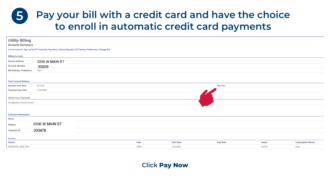| <b>Utility Billing</b><br><b>Account Summary</b> |                                                                                                                    |       |                   |                  |               |                            |
|--------------------------------------------------|--------------------------------------------------------------------------------------------------------------------|-------|-------------------|------------------|---------------|----------------------------|
|                                                  | Link to Account   Sign up for EFT Automatic Payments   Service Requests   Bill Delivery Preferences   Manage Bills |       |                   |                  |               |                            |
| <b>Billing Account</b>                           |                                                                                                                    |       |                   |                  |               |                            |
| <b>Service Address</b>                           | 2200 W MAIN ST                                                                                                     |       |                   |                  |               |                            |
| <b>Account Number</b>                            | 30009                                                                                                              |       |                   |                  |               |                            |
| <b>Bill Delivery Preference</b>                  | Mail                                                                                                               |       |                   |                  |               |                            |
|                                                  |                                                                                                                    |       |                   |                  |               |                            |
| <b>Your Current Balance</b>                      |                                                                                                                    |       |                   |                  |               |                            |
| <b>Amount Due Now</b>                            | \$115.43                                                                                                           |       |                   | Pay Now          |               |                            |
| <b>Payment Due Date</b>                          | 1/16/2020                                                                                                          |       |                   |                  |               |                            |
| <b>About Your Payments</b>                       |                                                                                                                    |       |                   |                  |               |                            |
| No payment activity found                        |                                                                                                                    |       |                   |                  |               |                            |
|                                                  |                                                                                                                    |       |                   |                  |               |                            |
| <b>Customer Information</b>                      |                                                                                                                    |       |                   |                  |               |                            |
| Name                                             |                                                                                                                    |       |                   |                  |               |                            |
| <b>Address</b>                                   | 2200 W MAIN ST                                                                                                     |       |                   |                  |               |                            |
| <b>Customer ID</b>                               | 200478                                                                                                             |       |                   |                  |               |                            |
|                                                  |                                                                                                                    |       |                   |                  |               |                            |
| <b>Services</b>                                  |                                                                                                                    |       |                   |                  |               |                            |
| <b>Service</b>                                   |                                                                                                                    | Code  | <b>Start Date</b> | <b>Stop Date</b> | <b>Status</b> | <b>Consumption History</b> |
| RESIDENTIAL BASE RATE                            |                                                                                                                    | 10000 | 5/22/2018         |                  | <b>ACTIVE</b> | None                       |

#### **Click Pay Now**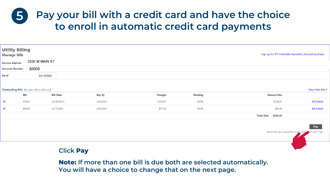| <b>Utility Billing</b><br><b>Manage Bills</b> | Sign up for EFT Automatic Payments   Account Summary |  |
|-----------------------------------------------|------------------------------------------------------|--|
| <b>Service Address</b>                        | 2200 W MAIN ST                                       |  |
| <b>Account Number</b>                         | 30009                                                |  |
| As of                                         | 02/18/2020                                           |  |

| <b>Outstanding Bills</b> (bill years 1989 to 2029 only) |       |                  |          |                |         | Show Past Bills            |                     |
|---------------------------------------------------------|-------|------------------|----------|----------------|---------|----------------------------|---------------------|
|                                                         | Bill  | <b>Bill Date</b> | Pay By   | <b>Charges</b> | Pending | <b>Balance Due</b>         |                     |
|                                                         | 47621 | 12/20/2019       | 1/8/2020 | \$158.97       | \$0.00  | \$158.97                   | Bill Details        |
|                                                         | 85045 | 1/17/2020        | 2/9/2020 | \$77.83        | \$0.00  | \$85.48                    | <b>Bill Details</b> |
|                                                         |       |                  |          |                |         | <b>Total Due: \$244.45</b> |                     |

select bills you would like to pay nov



**Note: If more than one bill is due both are selected automatically. You will have a choice to change that on the next page.**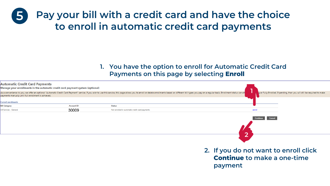#### **1. You have the option to enroll for Automatic Credit Card Payments on this page by selecting Enroll**

**payment**

| <b>Automatic Credit Card Payments</b><br>Manage your enrollments in the automatic credit card payment system (optional) |                   |                                                                                                                                                                                                                                |                                                                             |  |
|-------------------------------------------------------------------------------------------------------------------------|-------------------|--------------------------------------------------------------------------------------------------------------------------------------------------------------------------------------------------------------------------------|-----------------------------------------------------------------------------|--|
| payments manually until full enrollment is achieved.                                                                    |                   | As a convenience to you, we offer an optional "Automatic Credit Card Payment" service. If you wish to use this service, this page allows you to enroll or delete enrollments based on different bill types you pay on a regula | g or Fully Enrolled. If pending, then you will still be required to make    |  |
| <b>Current enrollments</b>                                                                                              |                   |                                                                                                                                                                                                                                |                                                                             |  |
| <b>Bill Category</b>                                                                                                    | <b>Account ID</b> | <b>Status</b>                                                                                                                                                                                                                  |                                                                             |  |
| <b>UB Services - General</b>                                                                                            | 30009             | Not enrolled in automatic credit card payments.                                                                                                                                                                                | enroll                                                                      |  |
|                                                                                                                         |                   |                                                                                                                                                                                                                                |                                                                             |  |
|                                                                                                                         |                   |                                                                                                                                                                                                                                | 2. If you do not want to enroll click<br><b>Continue to make a one-time</b> |  |
|                                                                                                                         |                   |                                                                                                                                                                                                                                |                                                                             |  |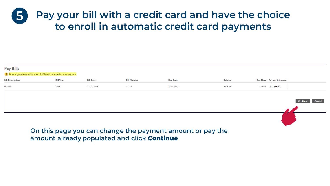| <b>Pay Bills</b><br>Note: a global convenience fee of \$2.00 will be added to your payment. |                  |                  |                    |                 |                |                               |  |
|---------------------------------------------------------------------------------------------|------------------|------------------|--------------------|-----------------|----------------|-------------------------------|--|
| <b>Bill Description</b>                                                                     | <b>Bill Year</b> | <b>Bill Date</b> | <b>Bill Number</b> | <b>Due Date</b> | <b>Balance</b> | <b>Due Now Payment Amount</b> |  |
| Utilities                                                                                   | 2019             | 12/27/2019       | 42174              | 1/16/2020       | \$115.43       | \$115.43<br>\$115.43          |  |
|                                                                                             |                  |                  |                    |                 |                |                               |  |
|                                                                                             |                  |                  |                    |                 |                | Cancel                        |  |
|                                                                                             |                  |                  |                    |                 |                |                               |  |
|                                                                                             |                  |                  |                    |                 |                |                               |  |

**On this page you can change the payment amount or pay the amount already populated and click Continue**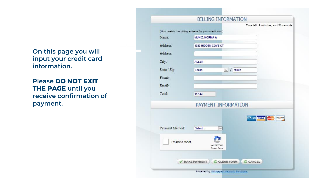**On this page you will input your credit card information.** 

**Please DO NOT EXIT THE PAGE until you receive confirmation of payment.**